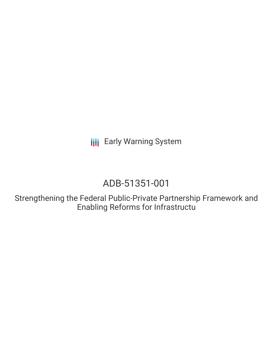**III** Early Warning System

# ADB-51351-001

Strengthening the Federal Public-Private Partnership Framework and Enabling Reforms for Infrastructu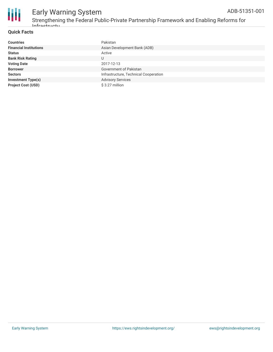

#### **Quick Facts**

| <b>Countries</b>              | Pakistan                              |
|-------------------------------|---------------------------------------|
| <b>Financial Institutions</b> | Asian Development Bank (ADB)          |
| <b>Status</b>                 | Active                                |
| <b>Bank Risk Rating</b>       | U                                     |
| <b>Voting Date</b>            | 2017-12-13                            |
| <b>Borrower</b>               | Government of Pakistan                |
| <b>Sectors</b>                | Infrastructure, Technical Cooperation |
| <b>Investment Type(s)</b>     | <b>Advisory Services</b>              |
| <b>Project Cost (USD)</b>     | $$3.27$ million                       |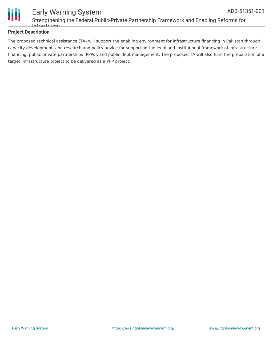

#### **Project Description**

The proposed technical assistance (TA) will support the enabling environment for infrastructure financing in Pakistan through capacity development, and research and policy advice for supporting the legal and institutional framework of infrastructure financing, public private partnerships (PPPs), and public debt management. The proposed TA will also fund the preparation of a target infrastructure project to be delivered as a PPP project.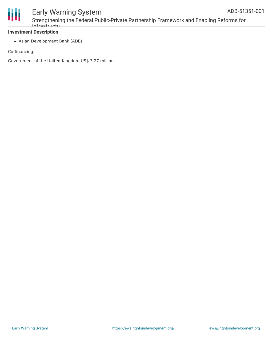

## Early Warning System

Strengthening the Federal Public-Private Partnership Framework and Enabling Reforms for Infrastructu

#### **Investment Description**

Asian Development Bank (ADB)

Co-financing:

Government of the United Kingdom US\$ 3.27 million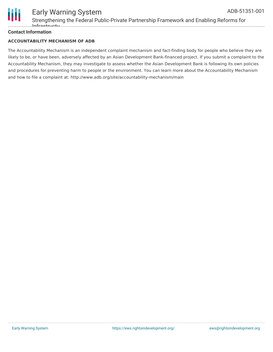

#### **Contact Information**

#### **ACCOUNTABILITY MECHANISM OF ADB**

The Accountability Mechanism is an independent complaint mechanism and fact-finding body for people who believe they are likely to be, or have been, adversely affected by an Asian Development Bank-financed project. If you submit a complaint to the Accountability Mechanism, they may investigate to assess whether the Asian Development Bank is following its own policies and procedures for preventing harm to people or the environment. You can learn more about the Accountability Mechanism and how to file a complaint at: http://www.adb.org/site/accountability-mechanism/main